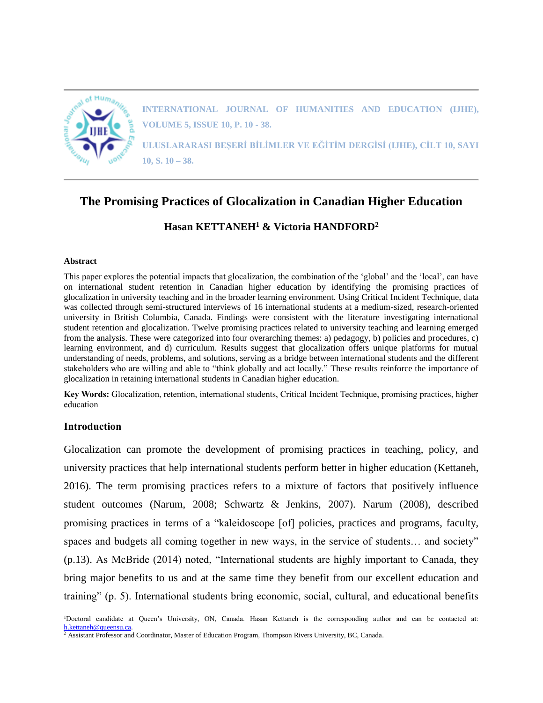

**INTERNATIONAL JOURNAL OF HUMANITIES AND EDUCATION (IJHE), VOLUME 5, ISSUE 10, P. 10 - 38.**

**ULUSLARARASI BEŞERİ BİLİMLER VE EĞİTİM DERGİSİ (IJHE), CİLT 10, SAYI 10, S. 10 – 38.**

# **The Promising Practices of Glocalization in Canadian Higher Education**

**Hasan KETTANEH<sup>1</sup> & Victoria HANDFORD<sup>2</sup>**

## **Abstract**

This paper explores the potential impacts that glocalization, the combination of the 'global' and the 'local', can have on international student retention in Canadian higher education by identifying the promising practices of glocalization in university teaching and in the broader learning environment. Using Critical Incident Technique, data was collected through semi-structured interviews of 16 international students at a medium-sized, research-oriented university in British Columbia, Canada. Findings were consistent with the literature investigating international student retention and glocalization. Twelve promising practices related to university teaching and learning emerged from the analysis. These were categorized into four overarching themes: a) pedagogy, b) policies and procedures, c) learning environment, and d) curriculum. Results suggest that glocalization offers unique platforms for mutual understanding of needs, problems, and solutions, serving as a bridge between international students and the different stakeholders who are willing and able to "think globally and act locally." These results reinforce the importance of glocalization in retaining international students in Canadian higher education.

**Key Words:** Glocalization, retention, international students, Critical Incident Technique, promising practices, higher education

# **Introduction**

 $\overline{a}$ 

Glocalization can promote the development of promising practices in teaching, policy, and university practices that help international students perform better in higher education (Kettaneh, 2016). The term promising practices refers to a mixture of factors that positively influence student outcomes (Narum, 2008; Schwartz & Jenkins, 2007). Narum (2008), described promising practices in terms of a "kaleidoscope [of] policies, practices and programs, faculty, spaces and budgets all coming together in new ways, in the service of students... and society" (p.13). As McBride (2014) noted, "International students are highly important to Canada, they bring major benefits to us and at the same time they benefit from our excellent education and training" (p. 5). International students bring economic, social, cultural, and educational benefits

<sup>1</sup>Doctoral candidate at Queen's University, ON, Canada. Hasan Kettaneh is the corresponding author and can be contacted at: [h.kettaneh@queensu.ca.](mailto:h.kettaneh@queensu.ca)

<sup>2</sup> Assistant Professor and Coordinator, Master of Education Program, Thompson Rivers University, BC, Canada.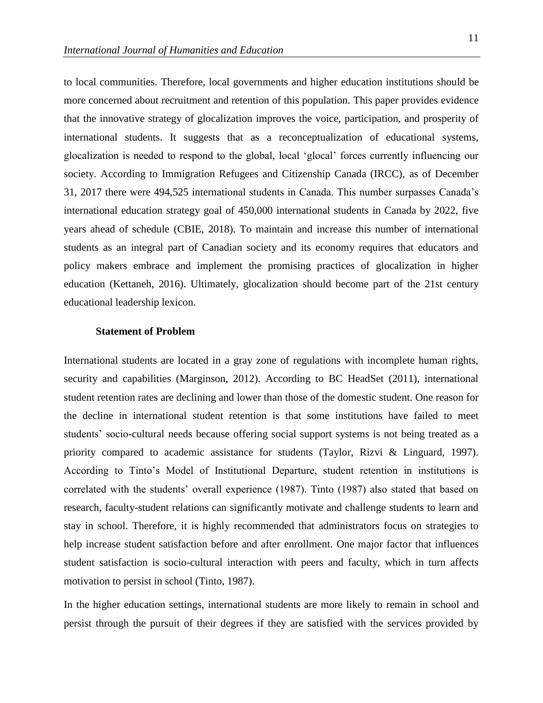to local communities. Therefore, local governments and higher education institutions should be more concerned about recruitment and retention of this population. This paper provides evidence that the innovative strategy of glocalization improves the voice, participation, and prosperity of international students. It suggests that as a reconceptualization of educational systems, glocalization is needed to respond to the global, local 'glocal' forces currently influencing our society. According to Immigration Refugees and Citizenship Canada (IRCC), as of December 31, 2017 there were 494,525 international students in Canada. This number surpasses Canada's international education strategy goal of 450,000 international students in Canada by 2022, five years ahead of schedule (CBIE, 2018). To maintain and increase this number of international students as an integral part of Canadian society and its economy requires that educators and policy makers embrace and implement the promising practices of glocalization in higher education (Kettaneh, 2016). Ultimately, glocalization should become part of the 21st century educational leadership lexicon.

#### **Statement of Problem**

International students are located in a gray zone of regulations with incomplete human rights, security and capabilities (Marginson, 2012). According to BC HeadSet (2011), international student retention rates are declining and lower than those of the domestic student. One reason for the decline in international student retention is that some institutions have failed to meet students' socio-cultural needs because offering social support systems is not being treated as a priority compared to academic assistance for students (Taylor, Rizvi & Linguard, 1997). According to Tinto's Model of Institutional Departure, student retention in institutions is correlated with the students' overall experience (1987). Tinto (1987) also stated that based on research, faculty-student relations can significantly motivate and challenge students to learn and stay in school. Therefore, it is highly recommended that administrators focus on strategies to help increase student satisfaction before and after enrollment. One major factor that influences student satisfaction is socio-cultural interaction with peers and faculty, which in turn affects motivation to persist in school (Tinto, 1987).

In the higher education settings, international students are more likely to remain in school and persist through the pursuit of their degrees if they are satisfied with the services provided by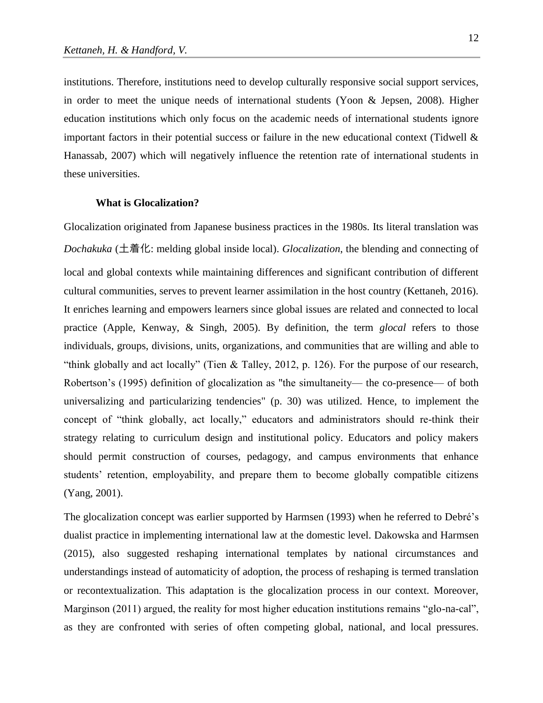institutions. Therefore, institutions need to develop culturally responsive social support services, in order to meet the unique needs of international students (Yoon & Jepsen, 2008). Higher education institutions which only focus on the academic needs of international students ignore important factors in their potential success or failure in the new educational context (Tidwell & Hanassab, 2007) which will negatively influence the retention rate of international students in these universities.

#### **What is Glocalization?**

Glocalization originated from Japanese business practices in the 1980s. Its literal translation was *Dochakuka* (土着化: melding global inside local). *Glocalization*, the blending and connecting of local and global contexts while maintaining differences and significant contribution of different cultural communities, serves to prevent learner assimilation in the host country (Kettaneh, 2016). It enriches learning and empowers learners since global issues are related and connected to local practice (Apple, Kenway, & Singh, 2005). By definition, the term *glocal* refers to those individuals, groups, divisions, units, organizations, and communities that are willing and able to "think globally and act locally" (Tien & Talley, 2012, p. 126). For the purpose of our research, Robertson's (1995) definition of glocalization as "the simultaneity— the co-presence— of both universalizing and particularizing tendencies" (p. 30) was utilized. Hence, to implement the concept of "think globally, act locally," educators and administrators should re-think their strategy relating to curriculum design and institutional policy. Educators and policy makers should permit construction of courses, pedagogy, and campus environments that enhance students' retention, employability, and prepare them to become globally compatible citizens (Yang, 2001).

The glocalization concept was earlier supported by Harmsen (1993) when he referred to Debré's dualist practice in implementing international law at the domestic level. Dakowska and Harmsen (2015), also suggested reshaping international templates by national circumstances and understandings instead of automaticity of adoption, the process of reshaping is termed translation or recontextualization. This adaptation is the glocalization process in our context. Moreover, Marginson (2011) argued, the reality for most higher education institutions remains "glo-na-cal", as they are confronted with series of often competing global, national, and local pressures.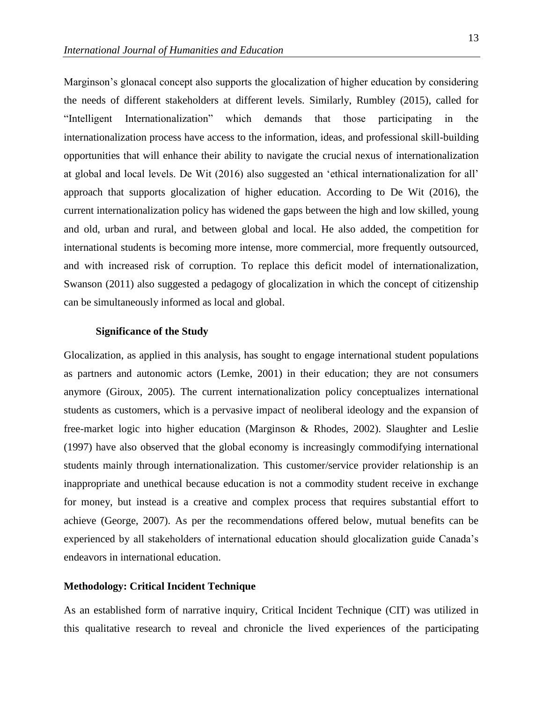Marginson's glonacal concept also supports the glocalization of higher education by considering the needs of different stakeholders at different levels. Similarly, Rumbley (2015), called for "Intelligent Internationalization" which demands that those participating in the internationalization process have access to the information, ideas, and professional skill-building opportunities that will enhance their ability to navigate the crucial nexus of internationalization at global and local levels. De Wit (2016) also suggested an 'ethical internationalization for all' approach that supports glocalization of higher education. According to De Wit (2016), the current internationalization policy has widened the gaps between the high and low skilled, young and old, urban and rural, and between global and local. He also added, the competition for international students is becoming more intense, more commercial, more frequently outsourced, and with increased risk of corruption. To replace this deficit model of internationalization, Swanson (2011) also suggested a pedagogy of glocalization in which the concept of citizenship can be simultaneously informed as local and global.

#### **Significance of the Study**

Glocalization, as applied in this analysis, has sought to engage international student populations as partners and autonomic actors (Lemke, 2001) in their education; they are not consumers anymore (Giroux, 2005). The current internationalization policy conceptualizes international students as customers, which is a pervasive impact of neoliberal ideology and the expansion of free-market logic into higher education (Marginson & Rhodes, 2002). Slaughter and Leslie (1997) have also observed that the global economy is increasingly commodifying international students mainly through internationalization. This customer/service provider relationship is an inappropriate and unethical because education is not a commodity student receive in exchange for money, but instead is a creative and complex process that requires substantial effort to achieve (George, 2007). As per the recommendations offered below, mutual benefits can be experienced by all stakeholders of international education should glocalization guide Canada's endeavors in international education.

# **Methodology: Critical Incident Technique**

As an established form of narrative inquiry, Critical Incident Technique (CIT) was utilized in this qualitative research to reveal and chronicle the lived experiences of the participating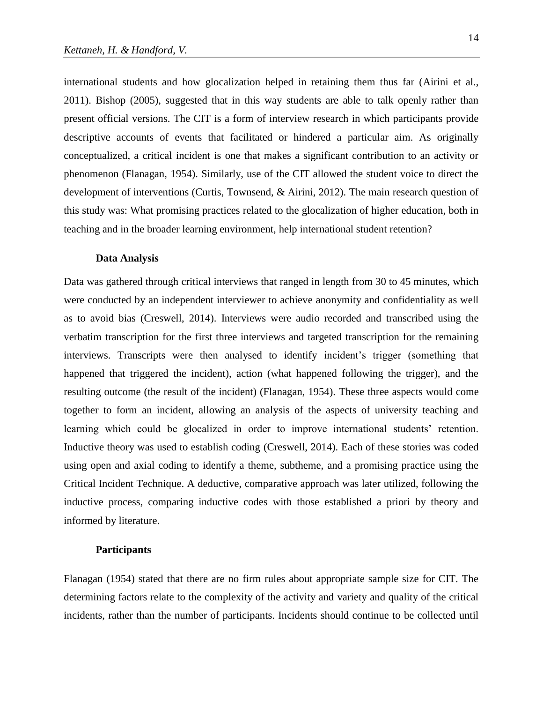international students and how glocalization helped in retaining them thus far (Airini et al., 2011). Bishop (2005), suggested that in this way students are able to talk openly rather than present official versions. The CIT is a form of interview research in which participants provide descriptive accounts of events that facilitated or hindered a particular aim. As originally conceptualized, a critical incident is one that makes a significant contribution to an activity or phenomenon (Flanagan, 1954). Similarly, use of the CIT allowed the student voice to direct the development of interventions (Curtis, Townsend, & Airini, 2012). The main research question of this study was: What promising practices related to the glocalization of higher education, both in teaching and in the broader learning environment, help international student retention?

#### **Data Analysis**

Data was gathered through critical interviews that ranged in length from 30 to 45 minutes, which were conducted by an independent interviewer to achieve anonymity and confidentiality as well as to avoid bias (Creswell, 2014). Interviews were audio recorded and transcribed using the verbatim transcription for the first three interviews and targeted transcription for the remaining interviews. Transcripts were then analysed to identify incident's trigger (something that happened that triggered the incident), action (what happened following the trigger), and the resulting outcome (the result of the incident) (Flanagan, 1954). These three aspects would come together to form an incident, allowing an analysis of the aspects of university teaching and learning which could be glocalized in order to improve international students' retention. Inductive theory was used to establish coding (Creswell, 2014). Each of these stories was coded using open and axial coding to identify a theme, subtheme, and a promising practice using the Critical Incident Technique. A deductive, comparative approach was later utilized, following the inductive process, comparing inductive codes with those established a priori by theory and informed by literature.

#### **Participants**

Flanagan (1954) stated that there are no firm rules about appropriate sample size for CIT. The determining factors relate to the complexity of the activity and variety and quality of the critical incidents, rather than the number of participants. Incidents should continue to be collected until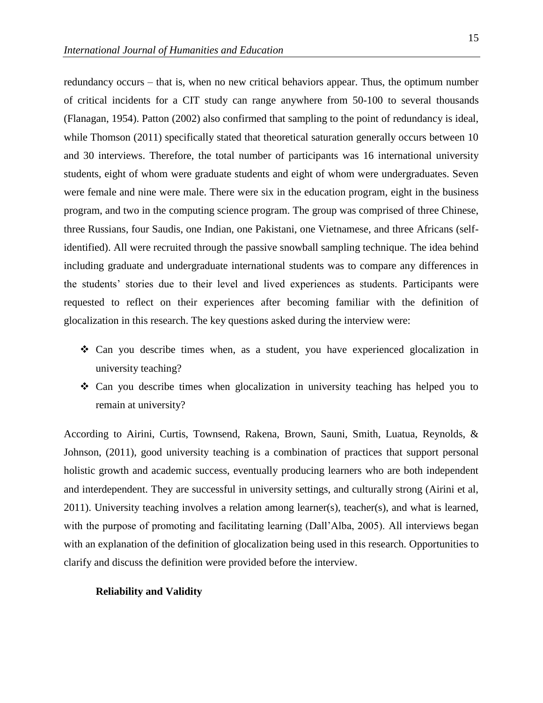redundancy occurs – that is, when no new critical behaviors appear. Thus, the optimum number of critical incidents for a CIT study can range anywhere from 50-100 to several thousands (Flanagan, 1954). Patton (2002) also confirmed that sampling to the point of redundancy is ideal, while Thomson (2011) specifically stated that theoretical saturation generally occurs between 10 and 30 interviews. Therefore, the total number of participants was 16 international university students, eight of whom were graduate students and eight of whom were undergraduates. Seven were female and nine were male. There were six in the education program, eight in the business program, and two in the computing science program. The group was comprised of three Chinese, three Russians, four Saudis, one Indian, one Pakistani, one Vietnamese, and three Africans (selfidentified). All were recruited through the passive snowball sampling technique. The idea behind including graduate and undergraduate international students was to compare any differences in the students' stories due to their level and lived experiences as students. Participants were requested to reflect on their experiences after becoming familiar with the definition of glocalization in this research. The key questions asked during the interview were:

- ❖ Can you describe times when, as a student, you have experienced glocalization in university teaching?
- ❖ Can you describe times when glocalization in university teaching has helped you to remain at university?

According to Airini, Curtis, Townsend, Rakena, Brown, Sauni, Smith, Luatua, Reynolds, & Johnson, (2011), good university teaching is a combination of practices that support personal holistic growth and academic success, eventually producing learners who are both independent and interdependent. They are successful in university settings, and culturally strong (Airini et al, 2011). University teaching involves a relation among learner(s), teacher(s), and what is learned, with the purpose of promoting and facilitating learning (Dall'Alba, 2005). All interviews began with an explanation of the definition of glocalization being used in this research. Opportunities to clarify and discuss the definition were provided before the interview.

#### **Reliability and Validity**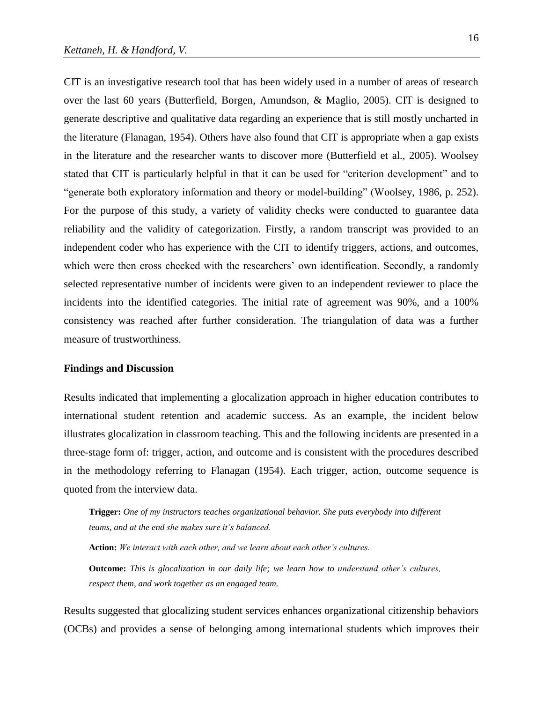CIT is an investigative research tool that has been widely used in a number of areas of research over the last 60 years (Butterfield, Borgen, Amundson, & Maglio, 2005). CIT is designed to generate descriptive and qualitative data regarding an experience that is still mostly uncharted in the literature (Flanagan, 1954). Others have also found that CIT is appropriate when a gap exists in the literature and the researcher wants to discover more (Butterfield et al., 2005). Woolsey stated that CIT is particularly helpful in that it can be used for "criterion development" and to "generate both exploratory information and theory or model-building" (Woolsey, 1986, p. 252). For the purpose of this study, a variety of validity checks were conducted to guarantee data reliability and the validity of categorization. Firstly, a random transcript was provided to an independent coder who has experience with the CIT to identify triggers, actions, and outcomes, which were then cross checked with the researchers' own identification. Secondly, a randomly selected representative number of incidents were given to an independent reviewer to place the incidents into the identified categories. The initial rate of agreement was 90%, and a 100% consistency was reached after further consideration. The triangulation of data was a further measure of trustworthiness.

## **Findings and Discussion**

Results indicated that implementing a glocalization approach in higher education contributes to international student retention and academic success. As an example, the incident below illustrates glocalization in classroom teaching. This and the following incidents are presented in a three-stage form of: trigger, action, and outcome and is consistent with the procedures described in the methodology referring to Flanagan (1954). Each trigger, action, outcome sequence is quoted from the interview data.

**Trigger:** *One of my instructors teaches organizational behavior. She puts everybody into different teams, and at the end she makes sure it's balanced.* 

**Action:** *We interact with each other, and we learn about each other's cultures.* 

**Outcome:** *This is glocalization in our daily life; we learn how to understand other's cultures, respect them, and work together as an engaged team.*

Results suggested that glocalizing student services enhances organizational citizenship behaviors (OCBs) and provides a sense of belonging among international students which improves their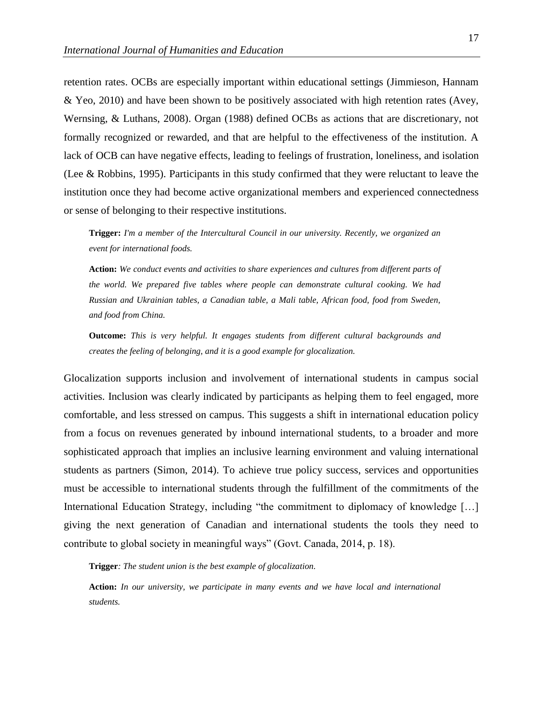retention rates. OCBs are especially important within educational settings (Jimmieson, Hannam & Yeo, 2010) and have been shown to be positively associated with high retention rates (Avey, Wernsing, & Luthans, 2008). Organ (1988) defined OCBs as actions that are discretionary, not formally recognized or rewarded, and that are helpful to the effectiveness of the institution. A lack of OCB can have negative effects, leading to feelings of frustration, loneliness, and isolation (Lee & Robbins, 1995). Participants in this study confirmed that they were reluctant to leave the institution once they had become active organizational members and experienced connectedness or sense of belonging to their respective institutions.

**Trigger:** *I'm a member of the Intercultural Council in our university. Recently, we organized an event for international foods.* 

**Action:** *We conduct events and activities to share experiences and cultures from different parts of the world. We prepared five tables where people can demonstrate cultural cooking. We had Russian and Ukrainian tables, a Canadian table, a Mali table, African food, food from Sweden, and food from China.* 

**Outcome:** *This is very helpful. It engages students from different cultural backgrounds and creates the feeling of belonging, and it is a good example for glocalization.*

Glocalization supports inclusion and involvement of international students in campus social activities. Inclusion was clearly indicated by participants as helping them to feel engaged, more comfortable, and less stressed on campus. This suggests a shift in international education policy from a focus on revenues generated by inbound international students, to a broader and more sophisticated approach that implies an inclusive learning environment and valuing international students as partners (Simon, 2014). To achieve true policy success, services and opportunities must be accessible to international students through the fulfillment of the commitments of the International Education Strategy, including "the commitment to diplomacy of knowledge […] giving the next generation of Canadian and international students the tools they need to contribute to global society in meaningful ways" (Govt. Canada, 2014, p. 18).

**Trigger***: The student union is the best example of glocalization.* 

**Action:** *In our university, we participate in many events and we have local and international students.*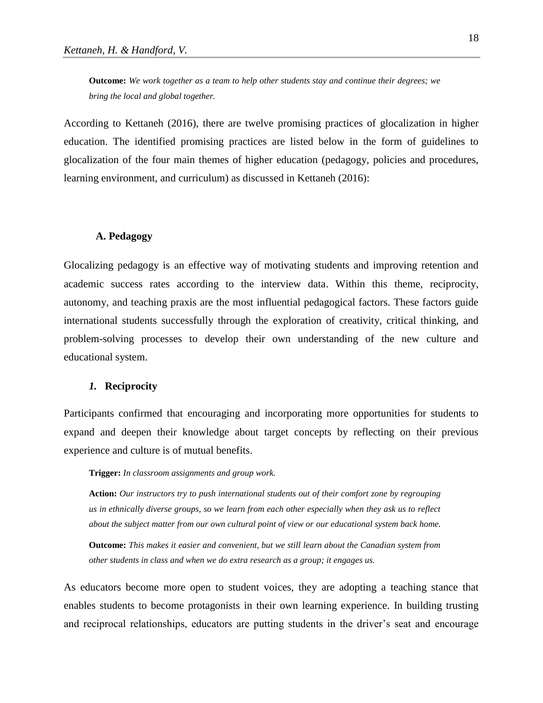**Outcome:** *We work together as a team to help other students stay and continue their degrees; we bring the local and global together.*

According to Kettaneh (2016), there are twelve promising practices of glocalization in higher education. The identified promising practices are listed below in the form of guidelines to glocalization of the four main themes of higher education (pedagogy, policies and procedures, learning environment, and curriculum) as discussed in Kettaneh (2016):

#### **A. Pedagogy**

Glocalizing pedagogy is an effective way of motivating students and improving retention and academic success rates according to the interview data. Within this theme, reciprocity, autonomy, and teaching praxis are the most influential pedagogical factors. These factors guide international students successfully through the exploration of creativity, critical thinking, and problem-solving processes to develop their own understanding of the new culture and educational system.

# *1.* **Reciprocity**

Participants confirmed that encouraging and incorporating more opportunities for students to expand and deepen their knowledge about target concepts by reflecting on their previous experience and culture is of mutual benefits.

**Trigger:** *In classroom assignments and group work.*

**Action:** *Our instructors try to push international students out of their comfort zone by regrouping us in ethnically diverse groups, so we learn from each other especially when they ask us to reflect about the subject matter from our own cultural point of view or our educational system back home.* 

**Outcome:** *This makes it easier and convenient, but we still learn about the Canadian system from other students in class and when we do extra research as a group; it engages us.* 

As educators become more open to student voices, they are adopting a teaching stance that enables students to become protagonists in their own learning experience. In building trusting and reciprocal relationships, educators are putting students in the driver's seat and encourage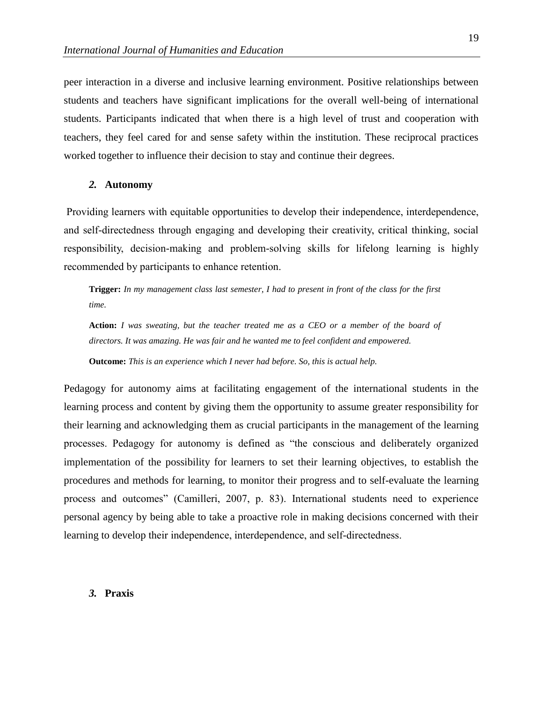peer interaction in a diverse and inclusive learning environment. Positive relationships between students and teachers have significant implications for the overall well-being of international students. Participants indicated that when there is a high level of trust and cooperation with teachers, they feel cared for and sense safety within the institution. These reciprocal practices worked together to influence their decision to stay and continue their degrees.

#### *2.* **Autonomy**

Providing learners with equitable opportunities to develop their independence, interdependence, and self-directedness through engaging and developing their creativity, critical thinking, social responsibility, decision-making and problem-solving skills for lifelong learning is highly recommended by participants to enhance retention.

**Trigger:** *In my management class last semester, I had to present in front of the class for the first time.* 

**Action:** *I was sweating, but the teacher treated me as a CEO or a member of the board of directors. It was amazing. He was fair and he wanted me to feel confident and empowered.*

**Outcome:** *This is an experience which I never had before. So, this is actual help.*

Pedagogy for autonomy aims at facilitating engagement of the international students in the learning process and content by giving them the opportunity to assume greater responsibility for their learning and acknowledging them as crucial participants in the management of the learning processes. Pedagogy for autonomy is defined as "the conscious and deliberately organized implementation of the possibility for learners to set their learning objectives, to establish the procedures and methods for learning, to monitor their progress and to self-evaluate the learning process and outcomes" (Camilleri, 2007, p. 83). International students need to experience personal agency by being able to take a proactive role in making decisions concerned with their learning to develop their independence, interdependence, and self-directedness.

#### *3.* **Praxis**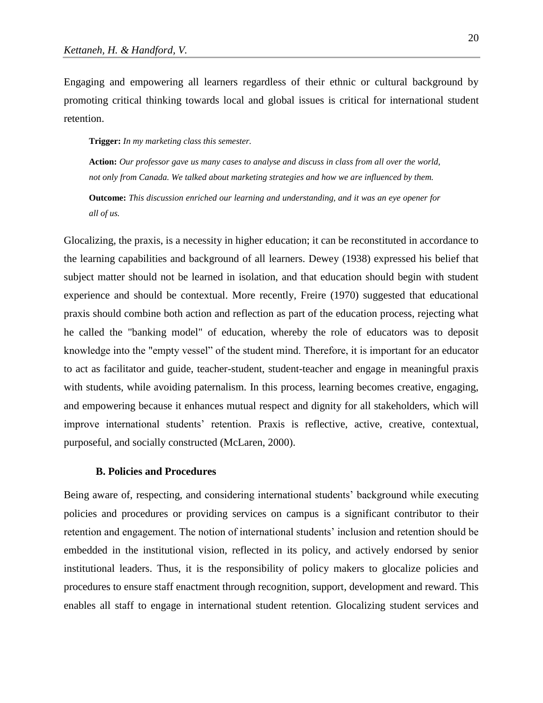Engaging and empowering all learners regardless of their ethnic or cultural background by promoting critical thinking towards local and global issues is critical for international student retention.

**Trigger:** *In my marketing class this semester.*

**Action:** *Our professor gave us many cases to analyse and discuss in class from all over the world, not only from Canada. We talked about marketing strategies and how we are influenced by them.* 

**Outcome:** *This discussion enriched our learning and understanding, and it was an eye opener for all of us.* 

Glocalizing, the praxis, is a necessity in higher education; it can be reconstituted in accordance to the learning capabilities and background of all learners. Dewey (1938) expressed his belief that subject matter should not be learned in isolation, and that education should begin with student experience and should be contextual. More recently, Freire (1970) suggested that educational praxis should combine both action and reflection as part of the education process, rejecting what he called the "banking model" of education, whereby the role of educators was to deposit knowledge into the "empty vessel" of the student mind. Therefore, it is important for an educator to act as facilitator and guide, teacher-student, student-teacher and engage in meaningful praxis with students, while avoiding paternalism. In this process, learning becomes creative, engaging, and empowering because it enhances mutual respect and dignity for all stakeholders, which will improve international students' retention. Praxis is reflective, active, creative, contextual, purposeful, and socially constructed (McLaren, 2000).

## **B. Policies and Procedures**

Being aware of, respecting, and considering international students' background while executing policies and procedures or providing services on campus is a significant contributor to their retention and engagement. The notion of international students' inclusion and retention should be embedded in the institutional vision, reflected in its policy, and actively endorsed by senior institutional leaders. Thus, it is the responsibility of policy makers to glocalize policies and procedures to ensure staff enactment through recognition, support, development and reward. This enables all staff to engage in international student retention. Glocalizing student services and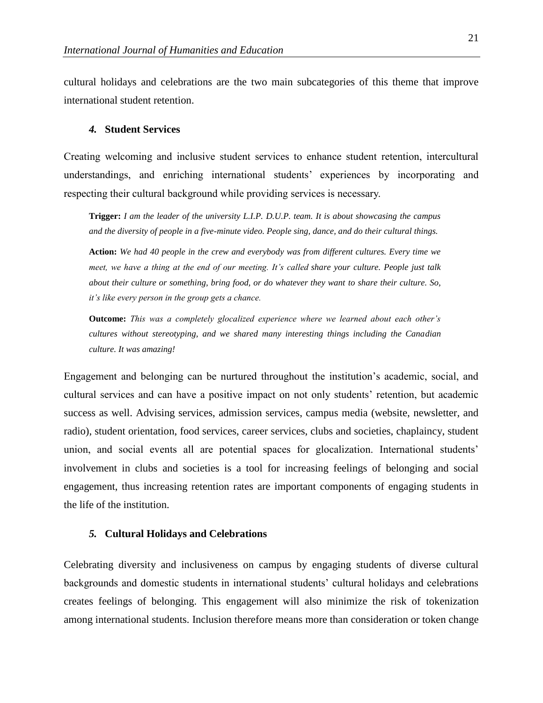cultural holidays and celebrations are the two main subcategories of this theme that improve international student retention.

#### *4.* **Student Services**

Creating welcoming and inclusive student services to enhance student retention, intercultural understandings, and enriching international students' experiences by incorporating and respecting their cultural background while providing services is necessary.

**Trigger:** *I am the leader of the university L.I.P. D.U.P. team. It is about showcasing the campus and the diversity of people in a five-minute video. People sing, dance, and do their cultural things.* 

**Action:** *We had 40 people in the crew and everybody was from different cultures. Every time we meet, we have a thing at the end of our meeting. It's called share your culture. People just talk about their culture or something, bring food, or do whatever they want to share their culture. So, it's like every person in the group gets a chance.* 

**Outcome:** *This was a completely glocalized experience where we learned about each other's cultures without stereotyping, and we shared many interesting things including the Canadian culture. It was amazing!*

Engagement and belonging can be nurtured throughout the institution's academic, social, and cultural services and can have a positive impact on not only students' retention, but academic success as well. Advising services, admission services, campus media (website, newsletter, and radio), student orientation, food services, career services, clubs and societies, chaplaincy, student union, and social events all are potential spaces for glocalization. International students' involvement in clubs and societies is a tool for increasing feelings of belonging and social engagement, thus increasing retention rates are important components of engaging students in the life of the institution.

## *5.* **Cultural Holidays and Celebrations**

Celebrating diversity and inclusiveness on campus by engaging students of diverse cultural backgrounds and domestic students in international students' cultural holidays and celebrations creates feelings of belonging. This engagement will also minimize the risk of tokenization among international students. Inclusion therefore means more than consideration or token change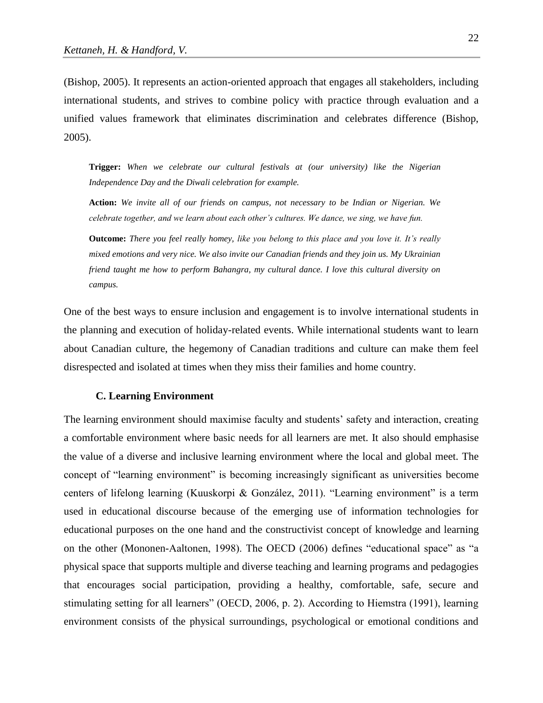(Bishop, 2005). It represents an action-oriented approach that engages all stakeholders, including international students, and strives to combine policy with practice through evaluation and a unified values framework that eliminates discrimination and celebrates difference (Bishop, 2005).

**Trigger:** *When we celebrate our cultural festivals at (our university) like the Nigerian Independence Day and the Diwali celebration for example.* 

**Action:** *We invite all of our friends on campus, not necessary to be Indian or Nigerian. We celebrate together, and we learn about each other's cultures. We dance, we sing, we have fun.* 

**Outcome:** *There you feel really homey, like you belong to this place and you love it. It's really mixed emotions and very nice. We also invite our Canadian friends and they join us. My Ukrainian friend taught me how to perform Bahangra, my cultural dance. I love this cultural diversity on campus.*

One of the best ways to ensure inclusion and engagement is to involve international students in the planning and execution of holiday-related events. While international students want to learn about Canadian culture, the hegemony of Canadian traditions and culture can make them feel disrespected and isolated at times when they miss their families and home country.

#### **C. Learning Environment**

The learning environment should maximise faculty and students' safety and interaction, creating a comfortable environment where basic needs for all learners are met. It also should emphasise the value of a diverse and inclusive learning environment where the local and global meet. The concept of "learning environment" is becoming increasingly significant as universities become centers of lifelong learning (Kuuskorpi & González, 2011). "Learning environment" is a term used in educational discourse because of the emerging use of information technologies for educational purposes on the one hand and the constructivist concept of knowledge and learning on the other (Mononen-Aaltonen, 1998). The OECD (2006) defines "educational space" as "a physical space that supports multiple and diverse teaching and learning programs and pedagogies that encourages social participation, providing a healthy, comfortable, safe, secure and stimulating setting for all learners" (OECD, 2006, p. 2). According to Hiemstra (1991), learning environment consists of the physical surroundings, psychological or emotional conditions and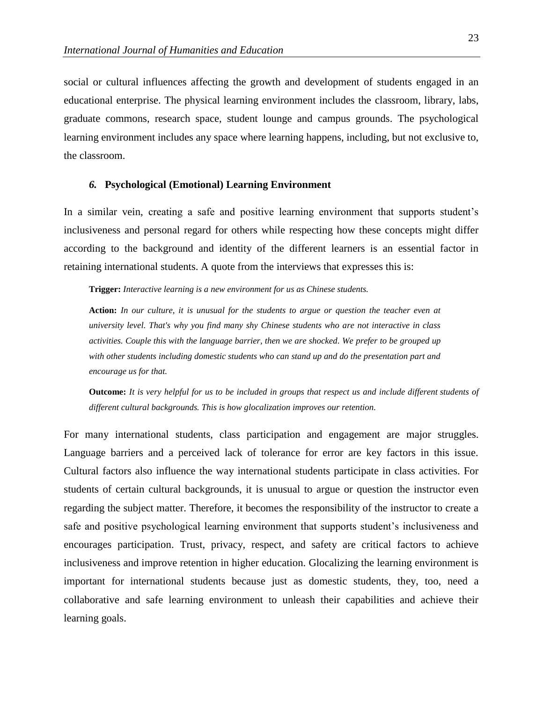social or cultural influences affecting the growth and development of students engaged in an educational enterprise. The physical learning environment includes the classroom, library, labs, graduate commons, research space, student lounge and campus grounds. The psychological learning environment includes any space where learning happens, including, but not exclusive to, the classroom.

## *6.* **Psychological (Emotional) Learning Environment**

In a similar vein, creating a safe and positive learning environment that supports student's inclusiveness and personal regard for others while respecting how these concepts might differ according to the background and identity of the different learners is an essential factor in retaining international students. A quote from the interviews that expresses this is:

**Trigger:** *Interactive learning is a new environment for us as Chinese students.* 

**Action:** *In our culture, it is unusual for the students to argue or question the teacher even at university level. That's why you find many shy Chinese students who are not interactive in class activities. Couple this with the language barrier, then we are shocked. We prefer to be grouped up with other students including domestic students who can stand up and do the presentation part and encourage us for that.* 

**Outcome:** *It is very helpful for us to be included in groups that respect us and include different students of different cultural backgrounds. This is how glocalization improves our retention.*

For many international students, class participation and engagement are major struggles. Language barriers and a perceived lack of tolerance for error are key factors in this issue. Cultural factors also influence the way international students participate in class activities. For students of certain cultural backgrounds, it is unusual to argue or question the instructor even regarding the subject matter. Therefore, it becomes the responsibility of the instructor to create a safe and positive psychological learning environment that supports student's inclusiveness and encourages participation. Trust, privacy, respect, and safety are critical factors to achieve inclusiveness and improve retention in higher education. Glocalizing the learning environment is important for international students because just as domestic students, they, too, need a collaborative and safe learning environment to unleash their capabilities and achieve their learning goals.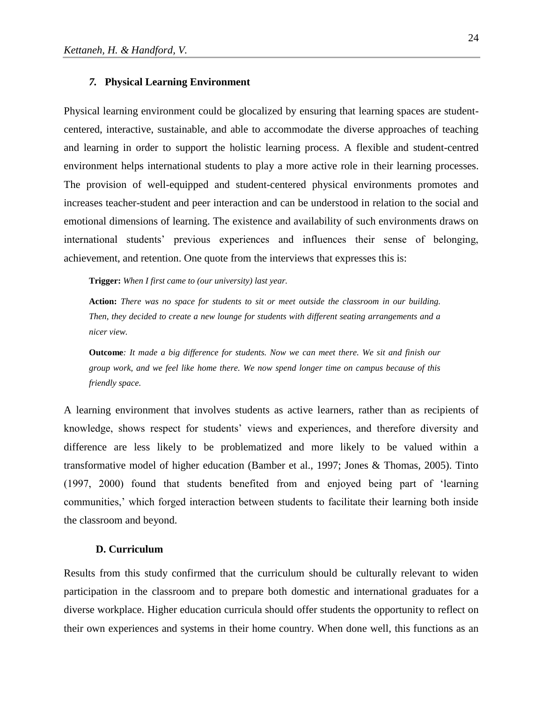#### *7.* **Physical Learning Environment**

Physical learning environment could be glocalized by ensuring that learning spaces are studentcentered, interactive, sustainable, and able to accommodate the diverse approaches of teaching and learning in order to support the holistic learning process. A flexible and student-centred environment helps international students to play a more active role in their learning processes. The provision of well-equipped and student-centered physical environments promotes and increases teacher-student and peer interaction and can be understood in relation to the social and emotional dimensions of learning. The existence and availability of such environments draws on international students' previous experiences and influences their sense of belonging, achievement, and retention. One quote from the interviews that expresses this is:

**Trigger:** *When I first came to (our university) last year.*

**Action:** *There was no space for students to sit or meet outside the classroom in our building. Then, they decided to create a new lounge for students with different seating arrangements and a nicer view.* 

**Outcome***: It made a big difference for students. Now we can meet there. We sit and finish our group work, and we feel like home there. We now spend longer time on campus because of this friendly space.*

A learning environment that involves students as active learners, rather than as recipients of knowledge, shows respect for students' views and experiences, and therefore diversity and difference are less likely to be problematized and more likely to be valued within a transformative model of higher education (Bamber et al., 1997; Jones & Thomas, 2005). Tinto (1997, 2000) found that students benefited from and enjoyed being part of 'learning communities,' which forged interaction between students to facilitate their learning both inside the classroom and beyond.

## **D. Curriculum**

Results from this study confirmed that the curriculum should be culturally relevant to widen participation in the classroom and to prepare both domestic and international graduates for a diverse workplace. Higher education curricula should offer students the opportunity to reflect on their own experiences and systems in their home country. When done well, this functions as an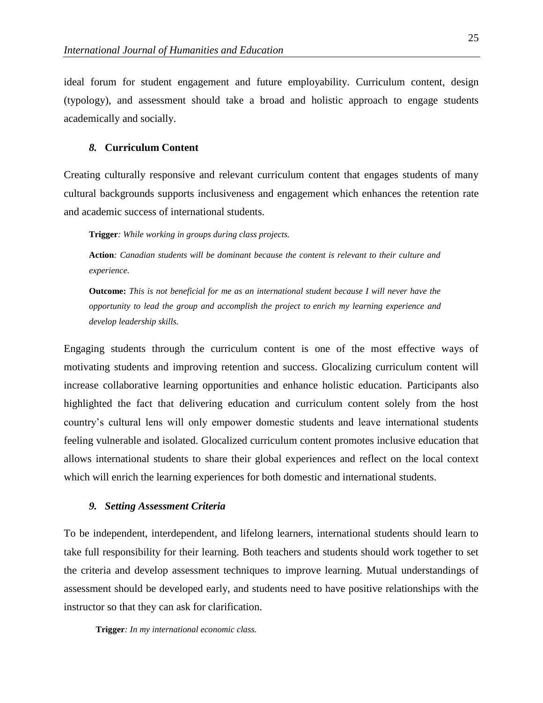ideal forum for student engagement and future employability. Curriculum content, design (typology), and assessment should take a broad and holistic approach to engage students academically and socially.

#### *8.* **Curriculum Content**

Creating culturally responsive and relevant curriculum content that engages students of many cultural backgrounds supports inclusiveness and engagement which enhances the retention rate and academic success of international students.

**Trigger***: While working in groups during class projects.* 

**Action***: Canadian students will be dominant because the content is relevant to their culture and experience.* 

**Outcome:** *This is not beneficial for me as an international student because I will never have the opportunity to lead the group and accomplish the project to enrich my learning experience and develop leadership skills.*

Engaging students through the curriculum content is one of the most effective ways of motivating students and improving retention and success. Glocalizing curriculum content will increase collaborative learning opportunities and enhance holistic education. Participants also highlighted the fact that delivering education and curriculum content solely from the host country's cultural lens will only empower domestic students and leave international students feeling vulnerable and isolated. Glocalized curriculum content promotes inclusive education that allows international students to share their global experiences and reflect on the local context which will enrich the learning experiences for both domestic and international students.

#### *9. Setting Assessment Criteria*

To be independent, interdependent, and lifelong learners, international students should learn to take full responsibility for their learning. Both teachers and students should work together to set the criteria and develop assessment techniques to improve learning. Mutual understandings of assessment should be developed early, and students need to have positive relationships with the instructor so that they can ask for clarification.

**Trigger***: In my international economic class.*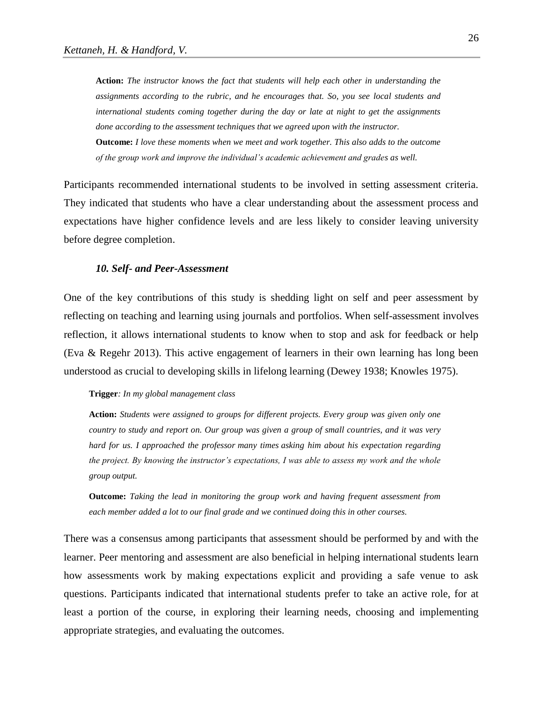**Action:** *The instructor knows the fact that students will help each other in understanding the assignments according to the rubric, and he encourages that. So, you see local students and international students coming together during the day or late at night to get the assignments done according to the assessment techniques that we agreed upon with the instructor.*  **Outcome:** *I love these moments when we meet and work together. This also adds to the outcome of the group work and improve the individual's academic achievement and grades as well.*

Participants recommended international students to be involved in setting assessment criteria. They indicated that students who have a clear understanding about the assessment process and expectations have higher confidence levels and are less likely to consider leaving university before degree completion.

## *10. Self- and Peer-Assessment*

One of the key contributions of this study is shedding light on self and peer assessment by reflecting on teaching and learning using journals and portfolios. When self-assessment involves reflection, it allows international students to know when to stop and ask for feedback or help (Eva & Regehr 2013). This active engagement of learners in their own learning has long been understood as crucial to developing skills in lifelong learning (Dewey 1938; Knowles 1975).

#### **Trigger***: In my global management class*

**Action:** *Students were assigned to groups for different projects. Every group was given only one country to study and report on. Our group was given a group of small countries, and it was very hard for us. I approached the professor many times asking him about his expectation regarding the project. By knowing the instructor's expectations, I was able to assess my work and the whole group output.*

**Outcome:** *Taking the lead in monitoring the group work and having frequent assessment from each member added a lot to our final grade and we continued doing this in other courses.* 

There was a consensus among participants that assessment should be performed by and with the learner. Peer mentoring and assessment are also beneficial in helping international students learn how assessments work by making expectations explicit and providing a safe venue to ask questions. Participants indicated that international students prefer to take an active role, for at least a portion of the course, in exploring their learning needs, choosing and implementing appropriate strategies, and evaluating the outcomes.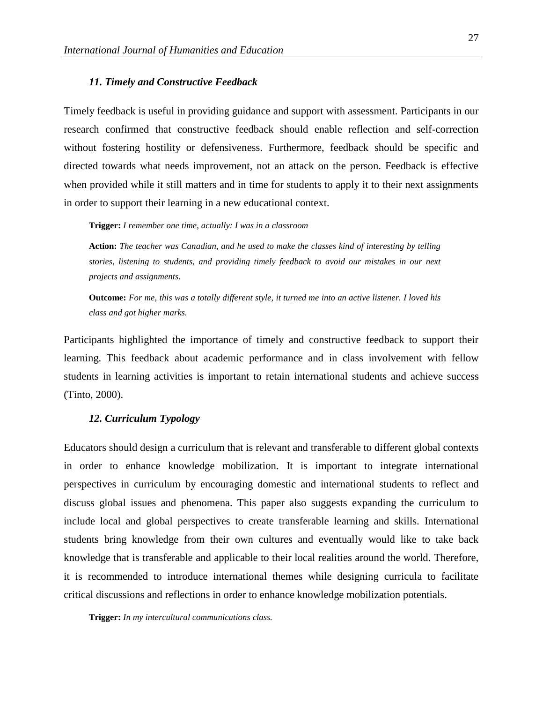#### *11. Timely and Constructive Feedback*

Timely feedback is useful in providing guidance and support with assessment. Participants in our research confirmed that constructive feedback should enable reflection and self-correction without fostering hostility or defensiveness. Furthermore, feedback should be specific and directed towards what needs improvement, not an attack on the person. Feedback is effective when provided while it still matters and in time for students to apply it to their next assignments in order to support their learning in a new educational context.

**Trigger:** *I remember one time, actually: I was in a classroom*

**Action:** *The teacher was Canadian, and he used to make the classes kind of interesting by telling stories, listening to students, and providing timely feedback to avoid our mistakes in our next projects and assignments.* 

**Outcome:** *For me, this was a totally different style, it turned me into an active listener. I loved his class and got higher marks.*

Participants highlighted the importance of timely and constructive feedback to support their learning. This feedback about academic performance and in class involvement with fellow students in learning activities is important to retain international students and achieve success (Tinto, 2000).

#### *12. Curriculum Typology*

Educators should design a curriculum that is relevant and transferable to different global contexts in order to enhance knowledge mobilization. It is important to integrate international perspectives in curriculum by encouraging domestic and international students to reflect and discuss global issues and phenomena. This paper also suggests expanding the curriculum to include local and global perspectives to create transferable learning and skills. International students bring knowledge from their own cultures and eventually would like to take back knowledge that is transferable and applicable to their local realities around the world. Therefore, it is recommended to introduce international themes while designing curricula to facilitate critical discussions and reflections in order to enhance knowledge mobilization potentials.

**Trigger:** *In my intercultural communications class.*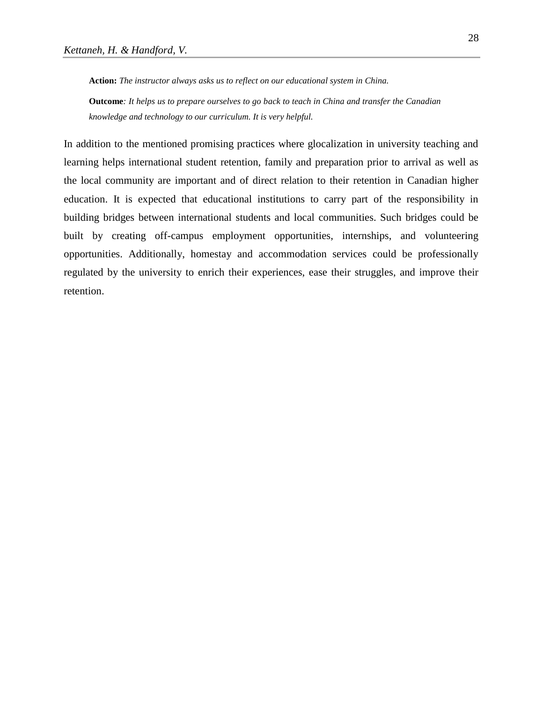**Action:** *The instructor always asks us to reflect on our educational system in China.* **Outcome***: It helps us to prepare ourselves to go back to teach in China and transfer the Canadian* 

*knowledge and technology to our curriculum. It is very helpful.* 

In addition to the mentioned promising practices where glocalization in university teaching and learning helps international student retention, family and preparation prior to arrival as well as the local community are important and of direct relation to their retention in Canadian higher education. It is expected that educational institutions to carry part of the responsibility in building bridges between international students and local communities. Such bridges could be built by creating off-campus employment opportunities, internships, and volunteering opportunities. Additionally, homestay and accommodation services could be professionally regulated by the university to enrich their experiences, ease their struggles, and improve their retention.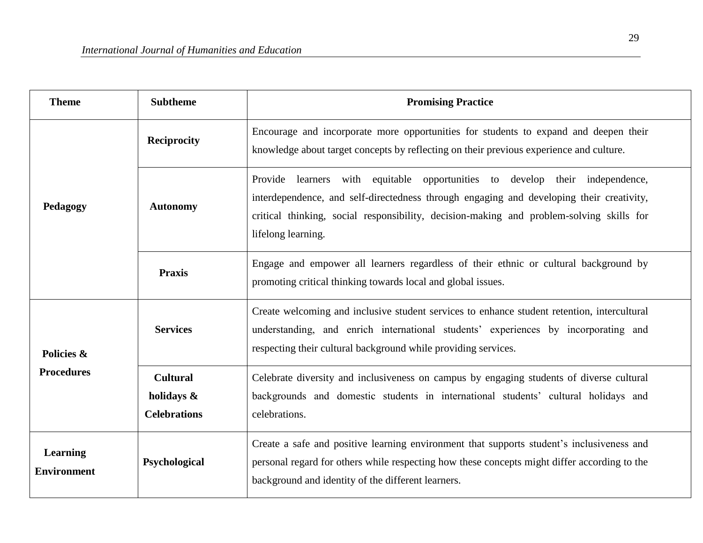| <b>Theme</b>                          | <b>Subtheme</b>                                      | <b>Promising Practice</b>                                                                                                                                                                                                                                                                  |
|---------------------------------------|------------------------------------------------------|--------------------------------------------------------------------------------------------------------------------------------------------------------------------------------------------------------------------------------------------------------------------------------------------|
| Pedagogy                              | <b>Reciprocity</b>                                   | Encourage and incorporate more opportunities for students to expand and deepen their<br>knowledge about target concepts by reflecting on their previous experience and culture.                                                                                                            |
|                                       | <b>Autonomy</b>                                      | Provide learners with equitable opportunities to develop their independence,<br>interdependence, and self-directedness through engaging and developing their creativity,<br>critical thinking, social responsibility, decision-making and problem-solving skills for<br>lifelong learning. |
|                                       | <b>Praxis</b>                                        | Engage and empower all learners regardless of their ethnic or cultural background by<br>promoting critical thinking towards local and global issues.                                                                                                                                       |
| Policies &<br><b>Procedures</b>       | <b>Services</b>                                      | Create welcoming and inclusive student services to enhance student retention, intercultural<br>understanding, and enrich international students' experiences by incorporating and<br>respecting their cultural background while providing services.                                        |
|                                       | <b>Cultural</b><br>holidays &<br><b>Celebrations</b> | Celebrate diversity and inclusiveness on campus by engaging students of diverse cultural<br>backgrounds and domestic students in international students' cultural holidays and<br>celebrations.                                                                                            |
| <b>Learning</b><br><b>Environment</b> | Psychological                                        | Create a safe and positive learning environment that supports student's inclusiveness and<br>personal regard for others while respecting how these concepts might differ according to the<br>background and identity of the different learners.                                            |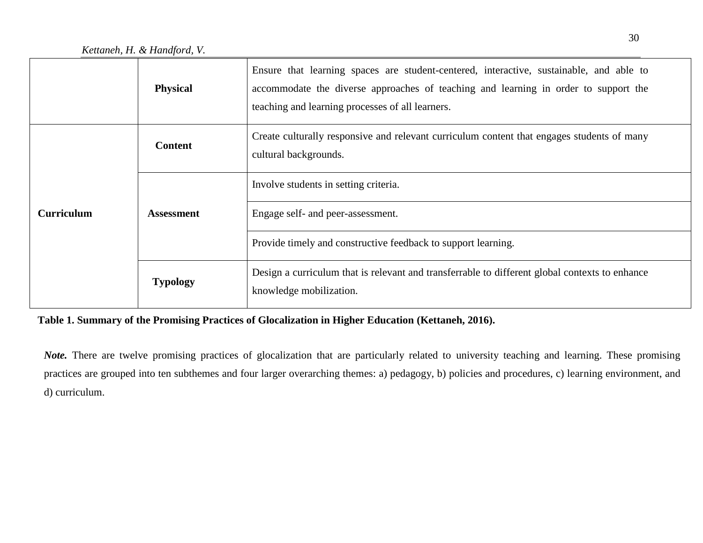|                   | <b>Physical</b>   | Ensure that learning spaces are student-centered, interactive, sustainable, and able to<br>accommodate the diverse approaches of teaching and learning in order to support the<br>teaching and learning processes of all learners. |
|-------------------|-------------------|------------------------------------------------------------------------------------------------------------------------------------------------------------------------------------------------------------------------------------|
| <b>Curriculum</b> | <b>Content</b>    | Create culturally responsive and relevant curriculum content that engages students of many<br>cultural backgrounds.                                                                                                                |
|                   | <b>Assessment</b> | Involve students in setting criteria.                                                                                                                                                                                              |
|                   |                   | Engage self- and peer-assessment.                                                                                                                                                                                                  |
|                   |                   | Provide timely and constructive feedback to support learning.                                                                                                                                                                      |
|                   | <b>Typology</b>   | Design a curriculum that is relevant and transferrable to different global contexts to enhance<br>knowledge mobilization.                                                                                                          |

# **Table 1. Summary of the Promising Practices of Glocalization in Higher Education (Kettaneh, 2016).**

*Note.* There are twelve promising practices of glocalization that are particularly related to university teaching and learning. These promising practices are grouped into ten subthemes and four larger overarching themes: a) pedagogy, b) policies and procedures, c) learning environment, and d) curriculum.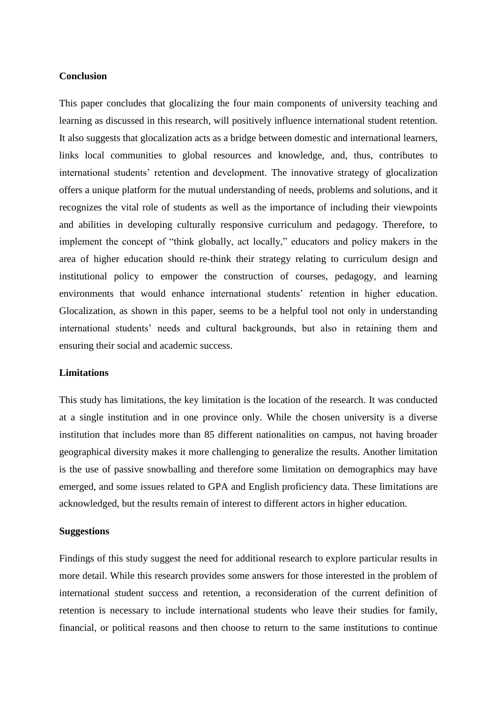## **Conclusion**

This paper concludes that glocalizing the four main components of university teaching and learning as discussed in this research, will positively influence international student retention. It also suggests that glocalization acts as a bridge between domestic and international learners, links local communities to global resources and knowledge, and, thus, contributes to international students' retention and development. The innovative strategy of glocalization offers a unique platform for the mutual understanding of needs, problems and solutions, and it recognizes the vital role of students as well as the importance of including their viewpoints and abilities in developing culturally responsive curriculum and pedagogy. Therefore, to implement the concept of "think globally, act locally," educators and policy makers in the area of higher education should re-think their strategy relating to curriculum design and institutional policy to empower the construction of courses, pedagogy, and learning environments that would enhance international students' retention in higher education. Glocalization, as shown in this paper, seems to be a helpful tool not only in understanding international students' needs and cultural backgrounds, but also in retaining them and ensuring their social and academic success.

## **Limitations**

This study has limitations, the key limitation is the location of the research. It was conducted at a single institution and in one province only. While the chosen university is a diverse institution that includes more than 85 different nationalities on campus, not having broader geographical diversity makes it more challenging to generalize the results. Another limitation is the use of passive snowballing and therefore some limitation on demographics may have emerged, and some issues related to GPA and English proficiency data. These limitations are acknowledged, but the results remain of interest to different actors in higher education.

## **Suggestions**

Findings of this study suggest the need for additional research to explore particular results in more detail. While this research provides some answers for those interested in the problem of international student success and retention, a reconsideration of the current definition of retention is necessary to include international students who leave their studies for family, financial, or political reasons and then choose to return to the same institutions to continue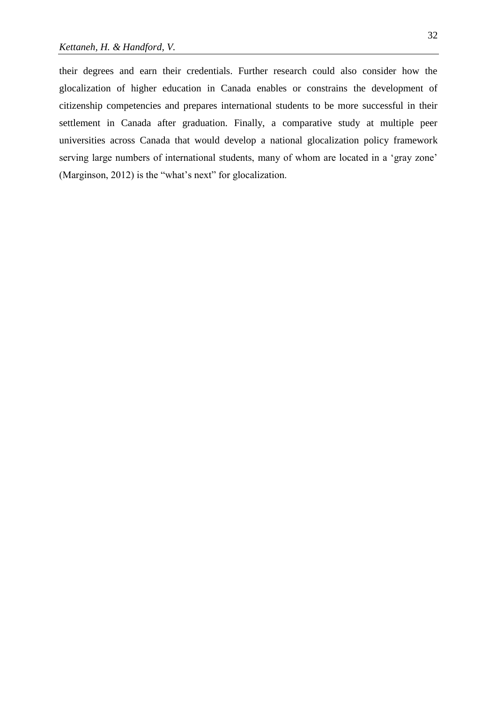their degrees and earn their credentials. Further research could also consider how the glocalization of higher education in Canada enables or constrains the development of citizenship competencies and prepares international students to be more successful in their settlement in Canada after graduation. Finally, a comparative study at multiple peer universities across Canada that would develop a national glocalization policy framework serving large numbers of international students, many of whom are located in a 'gray zone' (Marginson, 2012) is the "what's next" for glocalization.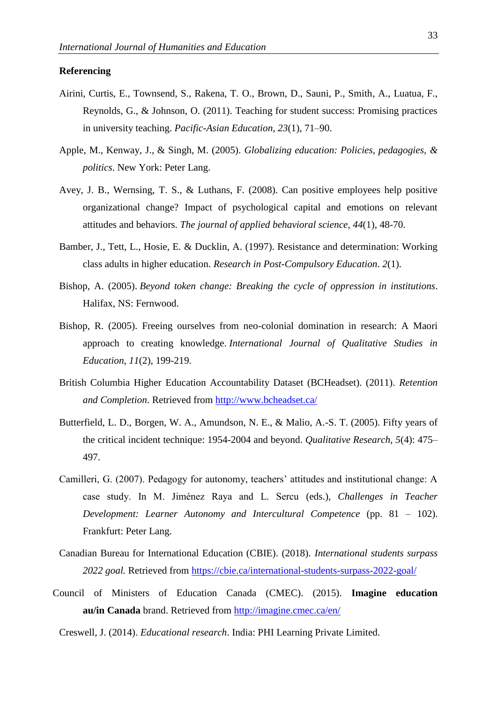## **Referencing**

- Airini, Curtis, E., Townsend, S., Rakena, T. O., Brown, D., Sauni, P., Smith, A., Luatua, F., Reynolds, G., & Johnson, O. (2011). Teaching for student success: Promising practices in university teaching. *Pacific-Asian Education, 23*(1), 71–90.
- Apple, M., Kenway, J., & Singh, M. (2005). *Globalizing education: Policies, pedagogies, & politics*. New York: Peter Lang.
- Avey, J. B., Wernsing, T. S., & Luthans, F. (2008). Can positive employees help positive organizational change? Impact of psychological capital and emotions on relevant attitudes and behaviors. *The journal of applied behavioral science*, *44*(1), 48-70.
- Bamber, J., Tett, L., Hosie, E. & Ducklin, A. (1997). Resistance and determination: Working class adults in higher education. *Research in Post-Compulsory Education*. *2*(1).
- Bishop, A. (2005). *Beyond token change: Breaking the cycle of oppression in institutions*. Halifax, NS: Fernwood.
- Bishop, R. (2005). Freeing ourselves from neo-colonial domination in research: A Maori approach to creating knowledge. *International Journal of Qualitative Studies in Education*, *11*(2), 199-219.
- British Columbia Higher Education Accountability Dataset (BCHeadset). (2011). *Retention and Completion*. Retrieved from<http://www.bcheadset.ca/>
- Butterfield, L. D., Borgen, W. A., Amundson, N. E., & Malio, A.-S. T. (2005). Fifty years of the critical incident technique: 1954-2004 and beyond. *Qualitative Research, 5*(4): 475– 497.
- Camilleri, G. (2007). Pedagogy for autonomy, teachers' attitudes and institutional change: A case study. In M. Jiménez Raya and L. Sercu (eds.), *Challenges in Teacher Development: Learner Autonomy and Intercultural Competence* (pp. 81 – 102). Frankfurt: Peter Lang.
- Canadian Bureau for International Education (CBIE). (2018). *International students surpass 2022 goal.* Retrieved from https://cbie.ca/international-students-surpass-2022-goal/
- Council of Ministers of Education Canada (CMEC). (2015). **Imagine education au/in Canada** brand. Retrieved from<http://imagine.cmec.ca/en/>
	- Creswell, J. (2014). *Educational research*. India: PHI Learning Private Limited.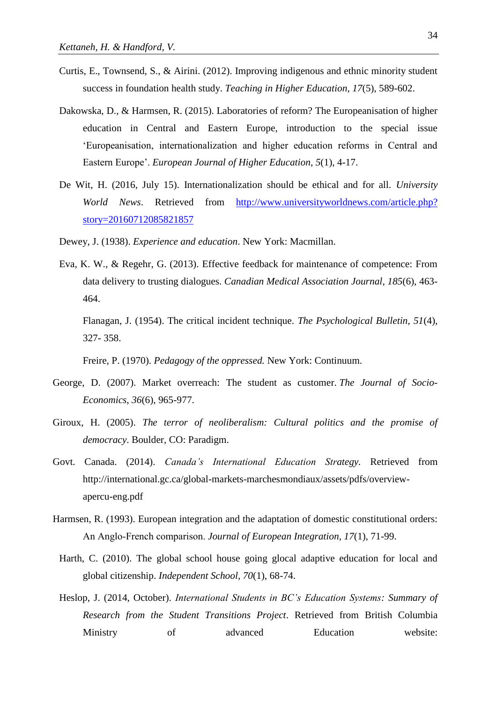- Curtis, E., Townsend, S., & Airini. (2012). Improving indigenous and ethnic minority student success in foundation health study. *Teaching in Higher Education*, *17*(5), 589-602.
- Dakowska, D., & Harmsen, R. (2015). Laboratories of reform? The Europeanisation of higher education in Central and Eastern Europe, introduction to the special issue 'Europeanisation, internationalization and higher education reforms in Central and Eastern Europe'. *European Journal of Higher Education*, *5*(1), 4-17.
- De Wit, H. (2016, July 15). Internationalization should be ethical and for all. *University World News*. Retrieved from [http://www.universityworldnews.com/article.php?](http://www.universityworldnews.com/article.php?%20story=20160712085821857)  [story=20160712085821857](http://www.universityworldnews.com/article.php?%20story=20160712085821857)
- Dewey, J. (1938). *Experience and education*. New York: Macmillan.
- Eva, K. W., & Regehr, G. (2013). Effective feedback for maintenance of competence: From data delivery to trusting dialogues. *Canadian Medical Association Journal*, *185*(6), 463- 464.

Flanagan, J. (1954). The critical incident technique. *The Psychological Bulletin, 51*(4), 327- 358.

Freire, P. (1970). *Pedagogy of the oppressed.* New York: Continuum.

- George, D. (2007). Market overreach: The student as customer. *The Journal of Socio-Economics*, *36*(6), 965-977.
- Giroux, H. (2005). *The terror of neoliberalism: Cultural politics and the promise of democracy*. Boulder, CO: Paradigm.
- Govt. Canada. (2014). *Canada's International Education Strategy.* Retrieved from http://international.gc.ca/global-markets-marchesmondiaux/assets/pdfs/overviewapercu-eng.pdf
- Harmsen, R. (1993). European integration and the adaptation of domestic constitutional orders: An Anglo‐French comparison. *Journal of European Integration, 17*(1), 71-99.
- Harth, C. (2010). The global school house going glocal adaptive education for local and global citizenship. *Independent School, 70*(1), 68-74.
- Heslop, J. (2014, October). *International Students in BC's Education Systems: Summary of Research from the Student Transitions Project*. Retrieved from British Columbia Ministry of advanced Education website: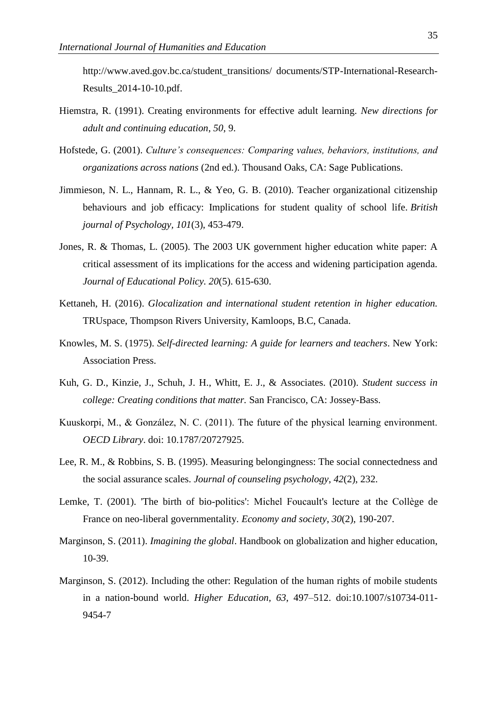http://www.aved.gov.bc.ca/student\_transitions/ documents/STP-International-Research-Results\_2014-10-10.pdf.

- Hiemstra, R. (1991). Creating environments for effective adult learning. *New directions for adult and continuing education*, *50*, 9.
- Hofstede, G. (2001). *Culture's consequences: Comparing values, behaviors, institutions, and organizations across nations* (2nd ed.). Thousand Oaks, CA: Sage Publications.
- Jimmieson, N. L., Hannam, R. L., & Yeo, G. B. (2010). Teacher organizational citizenship behaviours and job efficacy: Implications for student quality of school life. *British journal of Psychology, 101*(3), 453-479.
- Jones, R. & Thomas, L. (2005). The 2003 UK government higher education white paper: A critical assessment of its implications for the access and widening participation agenda. *Journal of Educational Policy. 20*(5). 615-630.
- Kettaneh, H. (2016). *Glocalization and international student retention in higher education.* TRUspace, Thompson Rivers University, Kamloops, B.C, Canada.
- Knowles, M. S. (1975). *Self-directed learning: A guide for learners and teachers*. New York: Association Press.
- Kuh, G. D., Kinzie, J., Schuh, J. H., Whitt, E. J., & Associates. (2010). *Student success in college: Creating conditions that matter.* San Francisco, CA: Jossey-Bass.
- Kuuskorpi, M., & González, N. C. (2011). The future of the physical learning environment. *OECD Library*. doi: 10.1787/20727925.
- Lee, R. M., & Robbins, S. B. (1995). Measuring belongingness: The social connectedness and the social assurance scales. *Journal of counseling psychology*, *42*(2), 232.
- Lemke, T. (2001). 'The birth of bio-politics': Michel Foucault's lecture at the Collège de France on neo-liberal governmentality. *Economy and society*, *30*(2), 190-207.
- Marginson, S. (2011). *Imagining the global*. Handbook on globalization and higher education, 10-39.
- Marginson, S. (2012). Including the other: Regulation of the human rights of mobile students in a nation-bound world. *Higher Education, 63*, 497–512. doi:10.1007/s10734-011- 9454-7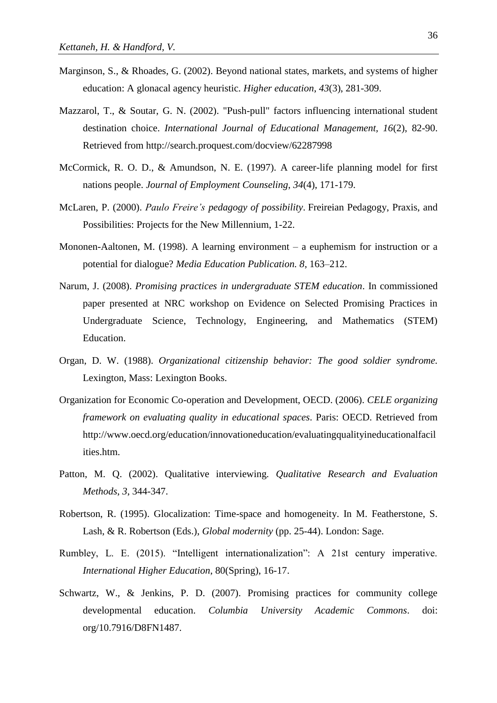- Marginson, S., & Rhoades, G. (2002). Beyond national states, markets, and systems of higher education: A glonacal agency heuristic. *Higher education*, *43*(3), 281-309.
- Mazzarol, T., & Soutar, G. N. (2002). "Push-pull" factors influencing international student destination choice. *International Journal of Educational Management, 16*(2), 82-90. Retrieved from http://search.proquest.com/docview/62287998
- McCormick, R. O. D., & Amundson, N. E. (1997). A career-life planning model for first nations people. *Journal of Employment Counseling*, *34*(4), 171-179.
- McLaren, P. (2000). *Paulo Freire's pedagogy of possibility*. Freireian Pedagogy, Praxis, and Possibilities: Projects for the New Millennium, 1-22.
- Mononen-Aaltonen, M. (1998). A learning environment a euphemism for instruction or a potential for dialogue? *Media Education Publication. 8*, 163–212.
- Narum, J. (2008). *Promising practices in undergraduate STEM education*. In commissioned paper presented at NRC workshop on Evidence on Selected Promising Practices in Undergraduate Science, Technology, Engineering, and Mathematics (STEM) Education.
- Organ, D. W. (1988). *Organizational citizenship behavior: The good soldier syndrome.* Lexington, Mass: Lexington Books.
- Organization for Economic Co-operation and Development, OECD. (2006). *CELE organizing framework on evaluating quality in educational spaces*. Paris: OECD. Retrieved from http://www.oecd.org/education/innovationeducation/evaluatingqualityineducationalfacil ities.htm.
- Patton, M. Q. (2002). Qualitative interviewing. *Qualitative Research and Evaluation Methods*, *3*, 344-347.
- Robertson, R. (1995). Glocalization: Time-space and homogeneity. In M. Featherstone, S. Lash, & R. Robertson (Eds.), *Global modernity* (pp. 25-44). London: Sage.
- Rumbley, L. E. (2015). "Intelligent internationalization": A 21st century imperative. *International Higher Education*, 80(Spring), 16-17.
- Schwartz, W., & Jenkins, P. D. (2007). Promising practices for community college developmental education. *Columbia University Academic Commons*. doi: org/10.7916/D8FN1487.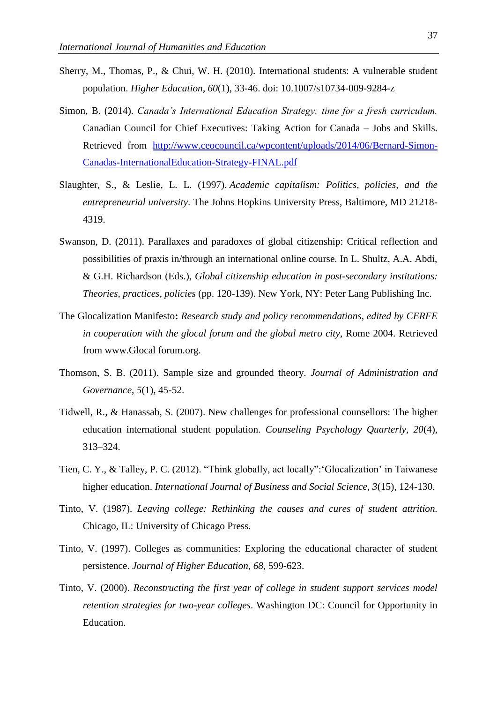- Sherry, M., Thomas, P., & Chui, W. H. (2010). International students: A vulnerable student population. *Higher Education*, *60*(1), 33-46. doi: 10.1007/s10734-009-9284-z
- Simon, B. (2014). *Canada's International Education Strategy: time for a fresh curriculum.* Canadian Council for Chief Executives: Taking Action for Canada – Jobs and Skills. Retrieved from [http://www.ceocouncil.ca/wpcontent/uploads/2014/06/Bernard-Simon-](http://www.ceocouncil.ca/wpcontent/uploads/2014/06/Bernard-Simon-Canadas-InternationalEducation-Strategy-FINAL.pdf)[Canadas-InternationalEducation-Strategy-FINAL.pdf](http://www.ceocouncil.ca/wpcontent/uploads/2014/06/Bernard-Simon-Canadas-InternationalEducation-Strategy-FINAL.pdf)
- Slaughter, S., & Leslie, L. L. (1997). *Academic capitalism: Politics, policies, and the entrepreneurial university*. The Johns Hopkins University Press, Baltimore, MD 21218- 4319.
- Swanson, D. (2011). Parallaxes and paradoxes of global citizenship: Critical reflection and possibilities of praxis in/through an international online course. In L. Shultz, A.A. Abdi, & G.H. Richardson (Eds.), *Global citizenship education in post-secondary institutions: Theories, practices, policies* (pp. 120-139). New York, NY: Peter Lang Publishing Inc.
- The Glocalization Manifesto**:** *Research study and policy recommendations, edited by CERFE in cooperation with the glocal forum and the global metro city*, Rome 2004. Retrieved from www.Glocal forum.org.
- Thomson, S. B. (2011). Sample size and grounded theory. *Journal of Administration and Governance*, *5*(1), 45-52.
- Tidwell, R., & Hanassab, S. (2007). New challenges for professional counsellors: The higher education international student population. *Counseling Psychology Quarterly, 20*(4), 313–324.
- Tien, C. Y., & Talley, P. C. (2012). "Think globally, act locally":'Glocalization' in Taiwanese higher education. *International Journal of Business and Social Science*, *3*(15), 124-130.
- Tinto, V. (1987). *Leaving college: Rethinking the causes and cures of student attrition.*  Chicago, IL: University of Chicago Press.
- Tinto, V. (1997). Colleges as communities: Exploring the educational character of student persistence. *Journal of Higher Education*, *68,* 599-623.
- Tinto, V. (2000). *Reconstructing the first year of college in student support services model retention strategies for two-year colleges*. Washington DC: Council for Opportunity in Education.